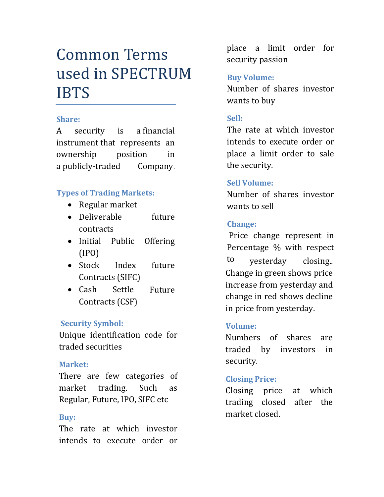# Common Terms used in SPECTRUM IBTS

#### **Share:**

A security is a [financial](http://www.investopedia.com/terms/f/financialinstrument.asp)  [instrument](http://www.investopedia.com/terms/f/financialinstrument.asp) that represents an ownership position in a [publicly-traded Company](http://www.investopedia.com/terms/p/publiccompany.asp).

# **Types of Trading Markets:**

- Regular market
- Deliverable future contracts
- Initial Public Offering (IPO)
- Stock Index future Contracts (SIFC)
- Cash Settle Future Contracts (CSF)

# **Security Symbol:**

Unique identification code for traded securities

# **Market:**

There are few categories of market trading. Such as Regular, Future, IPO, SIFC etc

# **Buy:**

The rate at which investor intends to execute order or

place a limit order for security passion

# **Buy Volume:**

Number of shares investor wants to buy

# **Sell:**

The rate at which investor intends to execute order or place a limit order to sale the security.

# **Sell Volume:**

Number of shares investor wants to sell

# **Change:**

Price change represent in Percentage % with respect to yesterday closing.. Change in green shows price increase from yesterday and change in red shows decline in price from yesterday.

# **Volume:**

Numbers of shares are traded by investors in security.

# **Closing Price:**

Closing price at which trading closed after the market closed.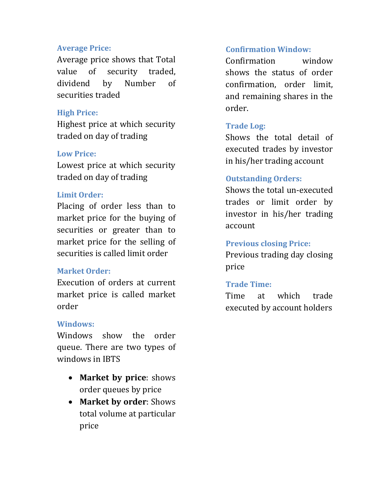#### **Average Price:**

Average price shows that Total value of security traded, dividend by Number of securities traded

#### **High Price:**

Highest price at which security traded on day of trading

# **Low Price:**

Lowest price at which security traded on day of trading

#### **Limit Order:**

Placing of order less than to market price for the buying of securities or greater than to market price for the selling of securities is called limit order

# **Market Order:**

Execution of orders at current market price is called market order

# **Windows:**

Windows show the order queue. There are two types of windows in IBTS

- **Market by price**: shows order queues by price
- **Market by order**: Shows total volume at particular price

# **Confirmation Window:**

Confirmation window shows the status of order confirmation, order limit, and remaining shares in the order.

# **Trade Log:**

Shows the total detail of executed trades by investor in his/her trading account

# **Outstanding Orders:**

Shows the total un-executed trades or limit order by investor in his/her trading account

#### **Previous closing Price:**

Previous trading day closing price

# **Trade Time:**

Time at which trade executed by account holders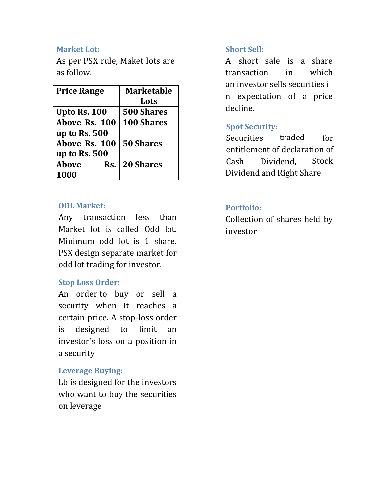#### **Market Lot:**

As per PSX rule, Maket lots are as follow.

| <b>Price Range</b>  | <b>Marketable</b> |
|---------------------|-------------------|
|                     | Lots              |
| <b>Upto Rs. 100</b> | 500 Shares        |
| Above Rs. 100       | <b>100 Shares</b> |
| up to Rs. 500       |                   |
| Above Rs. 100       | <b>50 Shares</b>  |
| up to Rs. 500       |                   |
| <b>Above</b><br>Rs. | <b>20 Shares</b>  |
| 1000                |                   |

#### **ODL Market:**

Any transaction less than Market lot is called Odd lot. Minimum odd lot is 1 share. PSX design separate market for odd lot trading for investor.

#### **Stop Loss Order:**

An order to buy or sell a security when it reaches a certain price. A stop-loss order is designed to limit an investor's loss on a position in a security

#### **Leverage Buying:**

Lb is designed for the investors who want to buy the securities on leverage

#### **Short Sell:**

A short sale is a share transaction in which an [investor](http://www.investopedia.com/terms/i/investor.asp) sells [securities](http://www.investopedia.com/terms/s/security.asp) i n expectation of a price decline.

#### **Spot Security:**

Securities traded for entitlement of declaration of Cash Dividend, Stock Dividend and Right Share

#### **Portfolio:**

Collection of shares held by investor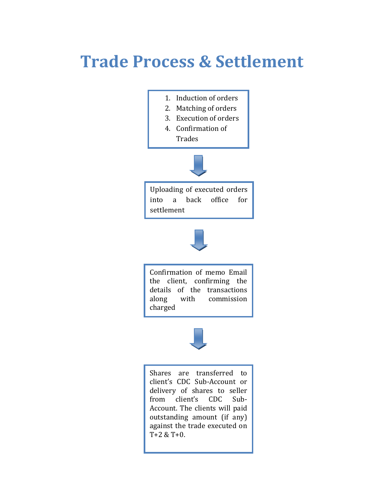# **Trade Process & Settlement**

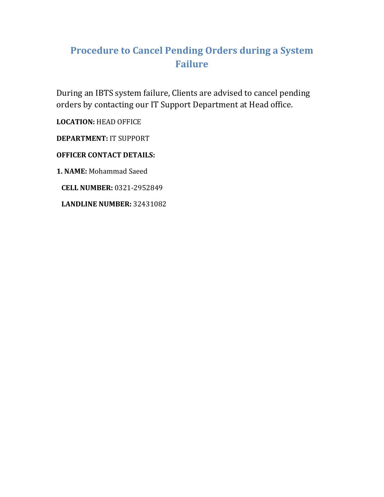# **Procedure to Cancel Pending Orders during a System Failure**

During an IBTS system failure, Clients are advised to cancel pending orders by contacting our IT Support Department at Head office.

**LOCATION:** HEAD OFFICE

**DEPARTMENT:** IT SUPPORT

**OFFICER CONTACT DETAILS:** 

**1. NAME:** Mohammad Saeed

 **CELL NUMBER:** 0321-2952849

**LANDLINE NUMBER:** 32431082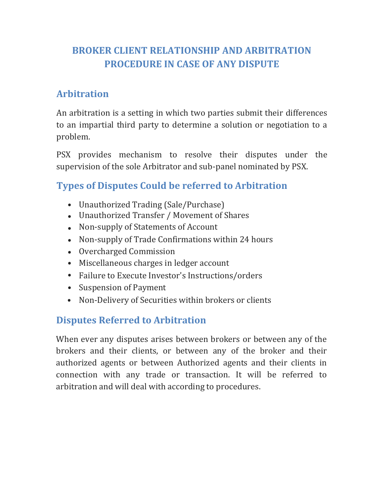# **BROKER CLIENT RELATIONSHIP AND ARBITRATION PROCEDURE IN CASE OF ANY DISPUTE**

# **Arbitration**

An arbitration is a setting in which two parties submit their differences to an impartial third party to determine a solution or negotiation to a problem.

PSX provides mechanism to resolve their disputes under the supervision of the sole Arbitrator and sub-panel nominated by PSX.

# **Types of Disputes Could be referred to Arbitration**

- Unauthorized Trading (Sale/Purchase)
- Unauthorized Transfer / Movement of Shares
- Non-supply of Statements of Account
- Non-supply of Trade Confirmations within 24 hours
- Overcharged Commission
- Miscellaneous charges in ledger account
- Failure to Execute Investor's Instructions/orders
- Suspension of Payment
- Non-Delivery of Securities within brokers or clients

# **Disputes Referred to Arbitration**

When ever any disputes arises between brokers or between any of the brokers and their clients, or between any of the broker and their authorized agents or between Authorized agents and their clients in connection with any trade or transaction. It will be referred to arbitration and will deal with according to procedures.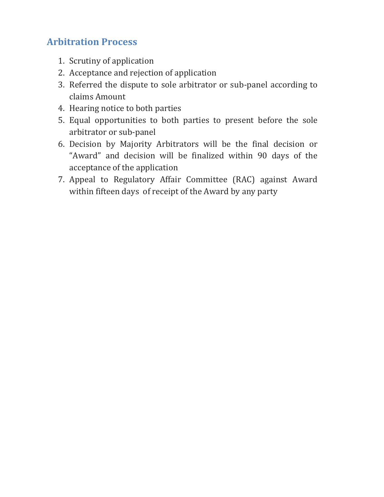# **Arbitration Process**

- 1. Scrutiny of application
- 2. Acceptance and rejection of application
- 3. Referred the dispute to sole arbitrator or sub-panel according to claims Amount
- 4. Hearing notice to both parties
- 5. Equal opportunities to both parties to present before the sole arbitrator or sub-panel
- 6. Decision by Majority Arbitrators will be the final decision or "Award" and decision will be finalized within 90 days of the acceptance of the application
- 7. Appeal to Regulatory Affair Committee (RAC) against Award within fifteen days of receipt of the Award by any party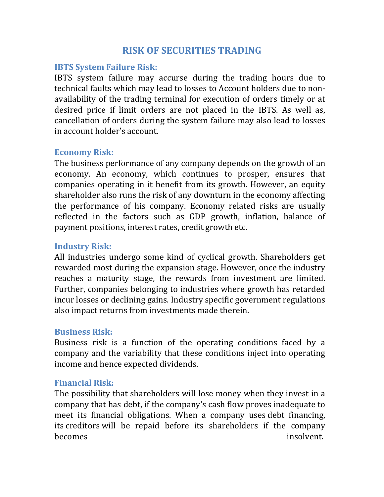# **RISK OF SECURITIES TRADING**

# **IBTS System Failure Risk:**

IBTS system failure may accurse during the trading hours due to technical faults which may lead to losses to Account holders due to nonavailability of the trading terminal for execution of orders timely or at desired price if limit orders are not placed in the IBTS. As well as, cancellation of orders during the system failure may also lead to losses in account holder's account.

# **Economy Risk:**

The business performance of any company depends on the growth of an economy. An economy, which continues to prosper, ensures that companies operating in it benefit from its growth. However, an equity shareholder also runs the risk of any downturn in the economy affecting the performance of his company. Economy related risks are usually reflected in the factors such as GDP growth, inflation, balance of payment positions, interest rates, credit growth etc.

# **Industry Risk:**

All industries undergo some kind of cyclical growth. Shareholders get rewarded most during the expansion stage. However, once the industry reaches a maturity stage, the rewards from investment are limited. Further, companies belonging to industries where growth has retarded incur losses or declining gains. Industry specific government regulations also impact returns from investments made therein.

# **Business Risk:**

Business risk is a function of the operating conditions faced by a company and the variability that these conditions inject into operating income and hence expected dividends.

# **Financial Risk:**

The possibility that shareholders will lose money when they invest in a company that has debt, if the company's [cash flow p](http://www.investopedia.com/terms/c/cashflow.asp)roves inadequate to meet its financial obligations. When a company uses [debt financing,](http://www.investopedia.com/terms/d/debtfinancing.asp)  its [creditors w](http://www.investopedia.com/terms/c/creditor.asp)ill be repaid before its shareholders if the company becomes insolvent.